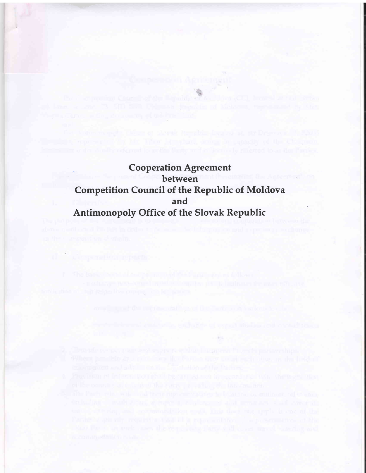**Cooperation Agreement** between **Competition Council of the Republic of Moldova** and Antimonopoly Office of the Slovak Republic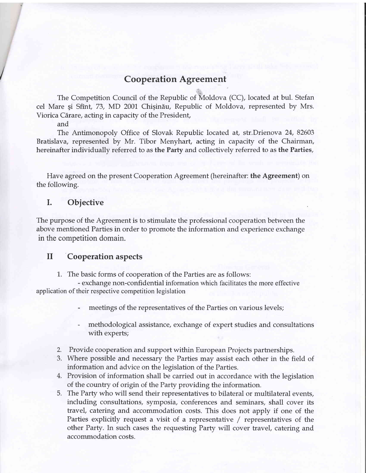## **Cooperation Agreement**

The Competition Council of the Republic of Moldova (CC), located at bul. Stefan cel Mare și Sfînt, 73, MD 2001 Chișinău, Republic of Moldova, represented by Mrs. Viorica Cărare, acting in capacity of the President,

and

The Antimonopoly Office of Slovak Republic located at, str.Drienova 24,82603 Bratislava, represented by Mr. Tibor Menyhart, acting in capacity of the Chairman, hereinafter individually referred to as the Party and collectively referred to as the Parties,

Have agreed on the present Cooperation Agreement (hereinafter: the Agreement) on the following.

## I. Objective

The purpose of the Agreement is to stimulate the professional cooperation between the above mentioned Parties in order to promote the information and experience exchange in the competition domain.

## il Cooperation aspects

1. The basic forms of cooperation of the Parties are as follows:

- exchange non-confidential information which facilitates the more effective application of their respective competition legislation

- ' meetings of the representatives of the Parties on various levels;
- . methodological assistance, exchange of expert studies and consultations with experts;
- 2. Provide cooperation and support within European Projects partnerships.
- 3. Where possible and necessary the Parties may assist each other in the field of information and advice on the legislation of the Parties.
- 4. Provision of information shall be carried out in accordance with the legislation of the country of origin of the Party providing the information.
- 5. The Party who will send their representatives to bilateral or multilateral events, including consultations, symposia, conferences and seminars, shall cover its travel, catering and accommodation costs. This does not apply if one of the Parties explicitly request a visit of a representative / representatives of the other Party.In such cases the requesting Party will cover travel, catering and accommodation costs.